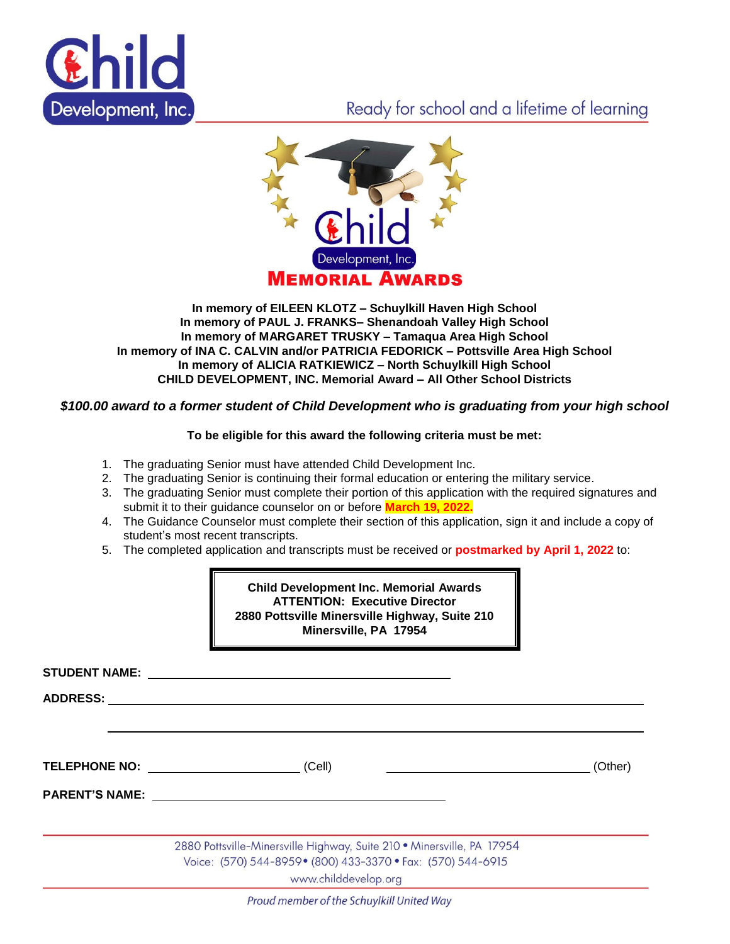

# Ready for school and a lifetime of learning



#### **In memory of EILEEN KLOTZ – Schuylkill Haven High School In memory of PAUL J. FRANKS– Shenandoah Valley High School In memory of MARGARET TRUSKY – Tamaqua Area High School In memory of INA C. CALVIN and/or PATRICIA FEDORICK – Pottsville Area High School In memory of ALICIA RATKIEWICZ – North Schuylkill High School CHILD DEVELOPMENT, INC. Memorial Award – All Other School Districts**

## *\$100.00 award to a former student of Child Development who is graduating from your high school*

## **To be eligible for this award the following criteria must be met:**

- 1. The graduating Senior must have attended Child Development Inc.
- 2. The graduating Senior is continuing their formal education or entering the military service.
- 3. The graduating Senior must complete their portion of this application with the required signatures and submit it to their guidance counselor on or before **March 19, 2022.**
- 4. The Guidance Counselor must complete their section of this application, sign it and include a copy of student's most recent transcripts.
- 5. The completed application and transcripts must be received or **postmarked by April 1, 2022** to:

**Child Development Inc. Memorial Awards ATTENTION: Executive Director 2880 Pottsville Minersville Highway, Suite 210 Minersville, PA 17954**

**STUDENT NAME:** 

**ADDRESS:**

**TELEPHONE NO:** (Cell) (Cell) (Cell) (Other)

**PARENT'S NAME:**

2880 Pottsville-Minersville Highway, Suite 210 · Minersville, PA 17954 Voice: (570) 544-8959 • (800) 433-3370 • Fax: (570) 544-6915

www.childdevelop.org

Proud member of the Schuylkill United Way